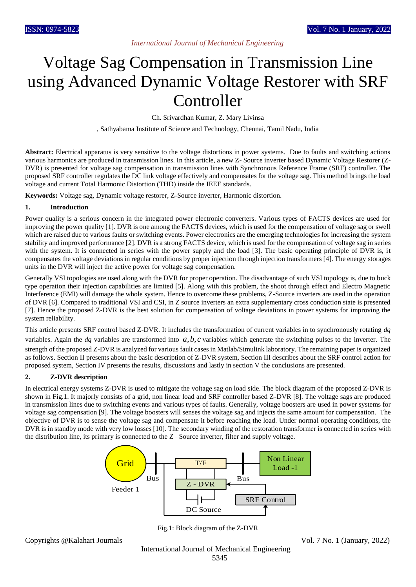# Voltage Sag Compensation in Transmission Line using Advanced Dynamic Voltage Restorer with SRF **Controller**

Ch. Srivardhan Kumar, Z. Mary Livinsa

, Sathyabama Institute of Science and Technology, Chennai, Tamil Nadu, India

**Abstract:** Electrical apparatus is very sensitive to the voltage distortions in power systems. Due to faults and switching actions various harmonics are produced in transmission lines. In this article, a new Z- Source inverter based Dynamic Voltage Restorer (Z-DVR) is presented for voltage sag compensation in transmission lines with Synchronous Reference Frame (SRF) controller. The proposed SRF controller regulates the DC link voltage effectively and compensates for the voltage sag. This method brings the load voltage and current Total Harmonic Distortion (THD) inside the IEEE standards.

**Keywords:** Voltage sag, Dynamic voltage restorer, Z-Source inverter, Harmonic distortion.

### **1. Introduction**

Power quality is a serious concern in the integrated power electronic converters. Various types of FACTS devices are used for improving the power quality [1]. DVR is one among the FACTS devices, which is used for the compensation of voltage sag or swell which are raised due to various faults or switching events. Power electronics are the emerging technologies for increasing the system stability and improved performance [2]. DVR is a strong FACTS device, which is used for the compensation of voltage sag in series with the system. It is connected in series with the power supply and the load [3]. The basic operating principle of DVR is, it compensates the voltage deviations in regular conditions by proper injection through injection transformers [4]. The energy storages units in the DVR will inject the active power for voltage sag compensation.

Generally VSI topologies are used along with the DVR for proper operation. The disadvantage of such VSI topology is, due to buck type operation their injection capabilities are limited [5]. Along with this problem, the shoot through effect and Electro Magnetic Interference (EMI) will damage the whole system. Hence to overcome these problems, Z-Source inverters are used in the operation of DVR [6]. Compared to traditional VSI and CSI, in Z source inverters an extra supplementary cross conduction state is presented [7]. Hence the proposed Z-DVR is the best solution for compensation of voltage deviations in power systems for improving the system reliability.

This article presents SRF control based Z-DVR. It includes the transformation of current variables in to synchronously rotating *dq* variables. Again the  $dq$  variables are transformed into  $a, b, c$  variables which generate the switching pulses to the inverter. The strength of the proposed Z-DVR is analyzed for various fault cases in Matlab/Simulink laboratory. The remaining paper is organized as follows. Section II presents about the basic description of Z-DVR system, Section III describes about the SRF control action for proposed system, Section IV presents the results, discussions and lastly in section V the conclusions are presented.

### **2. Z-DVR description**

In electrical energy systems Z-DVR is used to mitigate the voltage sag on load side. The block diagram of the proposed Z-DVR is shown in Fig.1. It majorly consists of a grid, non linear load and SRF controller based Z-DVR [8]. The voltage sags are produced in transmission lines due to switching events and various types of faults. Generally, voltage boosters are used in power systems for voltage sag compensation [9]. The voltage boosters will senses the voltage sag and injects the same amount for compensation. The objective of DVR is to sense the voltage sag and compensate it before reaching the load. Under normal operating conditions, the DVR is in standby mode with very low losses [10]. The secondary winding of the restoration transformer is connected in series with the distribution line, its primary is connected to the Z –Source inverter, filter and supply voltage.



Fig.1: Block diagram of the Z-DVR

Copyrights @Kalahari Journals Vol. 7 No. 1 (January, 2022)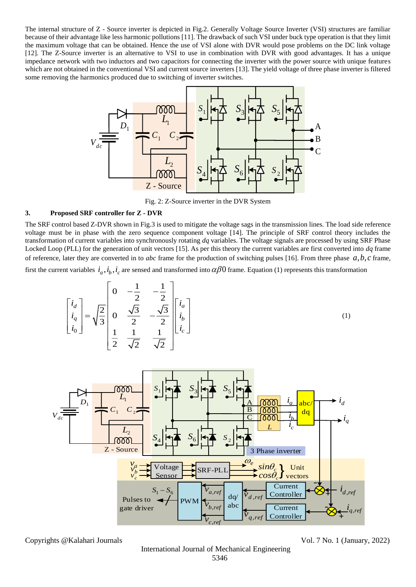The internal structure of Z - Source inverter is depicted in Fig.2. Generally Voltage Source Inverter (VSI) structures are familiar because of their advantage like less harmonic pollutions [11]. The drawback of such VSI under buck type operation is that they limit the maximum voltage that can be obtained. Hence the use of VSI alone with DVR would pose problems on the DC link voltage [12]. The Z-Source inverter is an alternative to VSI to use in combination with DVR with good advantages. It has a unique impedance network with two inductors and two capacitors for connecting the inverter with the power source with unique features which are not obtained in the conventional VSI and current source inverters [13]. The yield voltage of three phase inverter is filtered some removing the harmonics produced due to switching of inverter switches.



Fig. 2: Z-Source inverter in the DVR System

### **3. Proposed SRF controller for Z - DVR**

The SRF control based Z-DVR shown in Fig.3 is used to mitigate the voltage sags in the transmission lines. The load side reference voltage must be in phase with the zero sequence component voltage [14]. The principle of SRF control theory includes the transformation of current variables into synchronously rotating *dq* variables. The voltage signals are processed by using SRF Phase Locked Loop (PLL) for the generation of unit vectors [15]. As per this theory the current variables are first converted into *dq* frame of reference, later they are converted in to *abc* frame for the production of switching pulses [16]. From three phase  $a, b, c$  frame, first the current variables  $i_a, i_b, i_c$  are sensed and transformed into  $\alpha\beta 0$  frame. Equation (1) represents this transformation

$$
\begin{bmatrix} i_d \\ i_q \\ i_0 \end{bmatrix} = \sqrt{\frac{2}{3}} \begin{bmatrix} 0 & -\frac{1}{2} & -\frac{1}{2} \\ 0 & \frac{\sqrt{3}}{2} & -\frac{\sqrt{3}}{2} \\ \frac{1}{2} & \frac{1}{\sqrt{2}} & \frac{1}{\sqrt{2}} \end{bmatrix} \begin{bmatrix} i_a \\ i_b \\ i_c \end{bmatrix}
$$
 (1)



Copyrights @Kalahari Journals Vol. 7 No. 1 (January, 2022)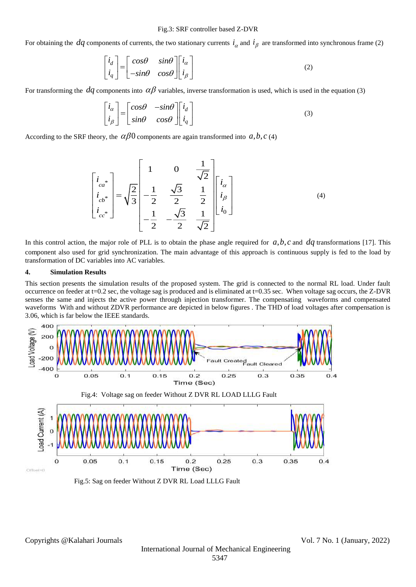For obtaining the  $dq$  components of currents, the two stationary currents  $i_\alpha$  and  $i_\beta$  are transformed into synchronous frame (2)

$$
\begin{bmatrix} i_d \\ i_q \end{bmatrix} = \begin{bmatrix} \cos\theta & \sin\theta \\ -\sin\theta & \cos\theta \end{bmatrix} \begin{bmatrix} i_\alpha \\ i_\beta \end{bmatrix}
$$
 (2)

For transforming the  $dq$  components into  $\alpha\beta$  variables, inverse transformation is used, which is used in the equation (3)

$$
\begin{bmatrix} i_{\alpha} \\ i_{\beta} \end{bmatrix} = \begin{bmatrix} cos\theta & -sin\theta \\ sin\theta & cos\theta \end{bmatrix} \begin{bmatrix} i_{d} \\ i_{q} \end{bmatrix}
$$
 (3)

According to the SRF theory, the  $\alpha\beta0$  components are again transformed into  $a, b, c$  (4)

$$
\begin{bmatrix} i_{ca} \ i_{cb} \ i_{cb} \ \end{bmatrix} = \sqrt{\frac{2}{3}} \begin{bmatrix} 1 & 0 & \frac{1}{\sqrt{2}} \\ -\frac{1}{2} & \frac{\sqrt{3}}{2} & \frac{1}{2} \\ -\frac{1}{2} & -\frac{\sqrt{3}}{2} & \frac{1}{\sqrt{2}} \end{bmatrix} \begin{bmatrix} i_{\alpha} \\ i_{\beta} \\ i_0 \end{bmatrix}
$$
 (4)

In this control action, the major role of PLL is to obtain the phase angle required for  $a, b, c$  and  $dq$  transformations [17]. This component also used for grid synchronization. The main advantage of this approach is continuous supply is fed to the load by transformation of DC variables into AC variables.

#### **4. Simulation Results**

This section presents the simulation results of the proposed system. The grid is connected to the normal RL load. Under fault occurrence on feeder at t=0.2 sec, the voltage sag is produced and is eliminated at t=0.35 sec. When voltage sag occurs, the Z-DVR senses the same and injects the active power through injection transformer. The compensating waveforms and compensated waveforms With and without ZDVR performance are depicted in below figures . The THD of load voltages after compensation is 3.06, which is far below the IEEE standards.



Fig.5: Sag on feeder Without Z DVR RL Load LLLG Fault

Copyrights @Kalahari Journals Vol. 7 No. 1 (January, 2022)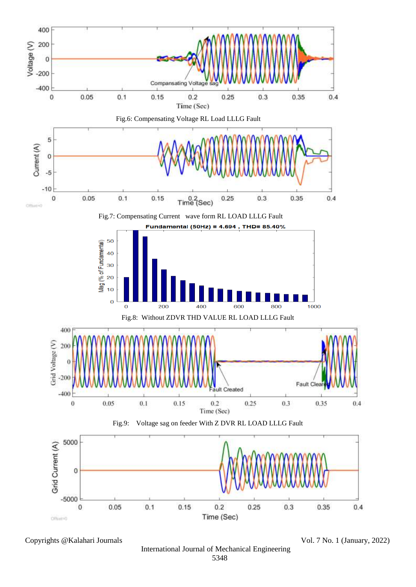

Copyrights @Kalahari Journals Vol. 7 No. 1 (January, 2022)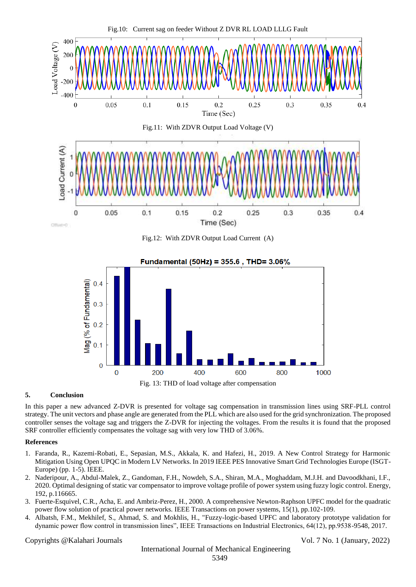



Fig. 13: THD of load voltage after compensation

## **5. Conclusion**

In this paper a new advanced Z-DVR is presented for voltage sag compensation in transmission lines using SRF-PLL control strategy. The unit vectors and phase angle are generated from the PLL which are also used for the grid synchronization. The proposed controller senses the voltage sag and triggers the Z-DVR for injecting the voltages. From the results it is found that the proposed SRF controller efficiently compensates the voltage sag with very low THD of 3.06%.

### **References**

- 1. Faranda, R., Kazemi-Robati, E., Sepasian, M.S., Akkala, K. and Hafezi, H., 2019. A New Control Strategy for Harmonic Mitigation Using Open UPQC in Modern LV Networks. In 2019 IEEE PES Innovative Smart Grid Technologies Europe (ISGT-Europe) (pp. 1-5). IEEE.
- 2. Naderipour, A., Abdul-Malek, Z., Gandoman, F.H., Nowdeh, S.A., Shiran, M.A., Moghaddam, M.J.H. and Davoodkhani, I.F., 2020. Optimal designing of static var compensator to improve voltage profile of power system using fuzzy logic control. Energy, 192, p.116665.
- 3. Fuerte-Esquivel, C.R., Acha, E. and Ambriz-Perez, H., 2000. A comprehensive Newton-Raphson UPFC model for the quadratic power flow solution of practical power networks. IEEE Transactions on power systems, 15(1), pp.102-109.
- 4. Albatsh, F.M., Mekhilef, S., Ahmad, S. and Mokhlis, H., "Fuzzy-logic-based UPFC and laboratory prototype validation for dynamic power flow control in transmission lines", IEEE Transactions on Industrial Electronics, 64(12), pp.9538-9548, 2017.

Copyrights @Kalahari Journals Vol. 7 No. 1 (January, 2022)